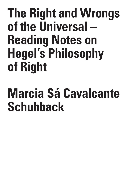## **The Right and Wrongs of the Universal – Reading Notes on Hegel's Philosophy of Right**

## **Marcia Sá Cavalcante Schuhback**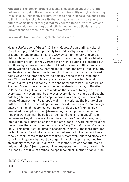**Abstract:** The present article presents a discussion about the relation between the right of the universal and the universality of rights departing from Hegel's Philosophy of Right. It tries to find in Hegel's thought a path to think the crisis of universality that pervades our contemporaneity. It outlines some lines of thought that may contribute to further reflections on Hegel's view on the tragic dialectic between the particular and the universal and to possible attempts to overcome it.

**Keywords:** truth, rational, right, philosophy, state

Hegel's *Philosophy of Right* [1821] is a "*Grundriß*", an outline, a sketch to a philosophy, and more precisely to a philosophy of right. It aims to present the fundamental lines, the *Grundlinien* to the task of giving a philosophical fundament to right, indeed, of accounting philosophically for the right of right. In the *Preface* not only, this outline is presented but a philosophy of the outline is also outlined. Currently outline means a line by which a figure is delineated, but in Hegel the prefix "out" is subtly emphasized when the outline is brought closer to the image of a thread being woven and interlaced, mythologically associated to Penelope's web. Thus, as Hegel's points expressively out, at stake in this work, which is a work of philosophy, is its ephemeral character, "ephemeral as Penelope's web, one which must be begun afresh every day"1 . Relating to Penelope, Hegel implicitly reminds us that in order to begin afresh every day, the woven must be unwoven every night. Insofar as philosophy puts together a work that is as ephemeral as a weaving that weaves by means of unweaving – Penelope's web – this work has the feature of an outline. Besides the idea of ephemeral work, defined as weaving through unweaving, the philosophical outline to a philosophy of right is also described as 'amplification', [*Ausdehnung*], an amplified compendium. If such a work can still be called a "compendium" or a "manual", it is because, as Hegel observes, it amplifies previous "remarks", originally intended to be a "brief compass to indicate ideas", a working material for the lectures that constitute the *Encyclopedia of the Philosophical Sciences* [1817]. This amplification aims to occasionally clarify "the more abstract parts of the text" and take "a more comprehensive look at current ideas widely disseminated at the present time"2 . Moreover, following closely the text of the *Preface*, what most distinguish the philosophical outline from an ordinary compendium is above all its method, which "constitutes its guiding principle" [*das Leitende*]. The presupposition "here", meaning "in this book", is that what defines the "philosophical" method of an outline

1 Hegel 1970. From now on cited as Hegel 2008, p. 3.

2 Ibid.

S I S & C R I T I Q U E / Volume 8

Issue 2

C R I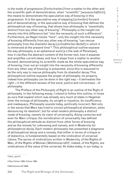is the mode of progression [*Fortschreiten*] from a matter to the other and the scientific path of demonstration, when "scientific" [*wissenschaftlich*], the means to demonstrate the speculative way of knowing in this progression. It is the speculative way of stepping [*schreiten*] forward and of demonstrating, in the speculative way of knowing that defines the philosophical way of knowing, that shows how philosophy is "essentially distinct from any other way of knowing". Philosophy is the insight not merely into this difference but "into the necessity of such a difference". Furthermore, as Hegel insists "here", only the insight into this necessity of knowing differently from any other way of knowing "can rescue philosophy from the shameful decay [*schmählichen Verfall*] in which it is immersed at the present time"3 . This philosophical outline exposes the way philosophy is an ephemeral work [a s the web of Penelope], how it clarifies the abstract content of the former text, how it expands and amplifies current ideas, and how it steps from a matter to another forward, demonstrating its scientific mode as the whole speculative way of knowing, from out an insight into the necessity of knowing differently from any other way of knowing is presented, since this is assumed to be the only way to rescue philosophy from its shameful decay. This philosophical outline exposes the proper of philosophy, its property, indeed how philosophy can be done in the right way – it delineates the right – in the different senses of the word, justice and correctness - of philosophy.

The Preface of the *Philosophy of Right* is an outline of the Right of philosophy. In the following essay, I intend to follow this outline, in times as ours that expand which was already very much at stake in Hegelian time: the wrongs of philosophy, its unright or injustice, its insufficiency and inadequacy. Philosophy sounds today, politically incorrect. Not only in the sense that Marx has tried to correct philosophical alienation, when denouncing its idealism<sup>4</sup>, but for what renders philosophy a distinct mode of knowing, namely its claim of universality. Along centuries and even for Marx critique, the revindication of universality has defined the philosophical attitude as distinct from other forms of knowing and as the remedy for unknowing and naivety, and in Modernity for philosophical decay. Each modern philosophy has presented a diagnosis of philosophical decay and a remedy, that either in terms of critique or of dialectics, is fundamentally based on the vindication of universal claims. The series of vindications written in Modernity, of the Rights of Man, of the Rights of Woman (Wollstonecraft)<sup>5</sup>, indeed, of the Rights, are vindications of the value of the universal. At stake today, in our today, is

3 Ibid., pp.3-4.

4 See Calvez 1956; Calvez 1964.

5 Wollstonecraft 2008..

330 The Right and Wrongs of the Universal...

I S I S & C R I T  $\mathbf{I}$ Q U E / Volume 8 Issue 2

C R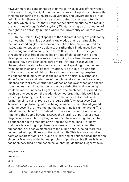however more the condemnation of universality as source of the wrongs of the world. Today the right of universality does not equal the universality of rights, rendering the universal, universality and universalism a critical point in which theory and praxis are confronted. It is in regard to this actuality which is "ours" that I propose the following outline of a reading of some lines of Hegel's *Philosophy of Right*, focusing on the question of the right to universality in times where the universality of rights is overall at play.

In the *Preface*, Hegel speaks of the "shameful decay" of philosophy, in times when "the rules governing knowledge that is attainable by the understanding [*Verstandserkenntnis*], have become recognized as inadequate for speculative science; or rather their inadequacy has not been recognized, it has only been felt"6 . It is from out the disregard of reasoning that Hegel begins his critique of philosophy at his time. He emphasizes how these rules of reasoning have been thrown away because they have been considered mere "fetters" [*Fesseln*] and chains, when the strive has become the one of speaking from the heart, from imagination and incidental intuition. His critique is a critique of the romantization of philosophy and the corresponding despise of philosophical logic, which is the logic of the spirit<sup>7</sup>. Nevertheless, since "reflections and relations of thought must also enter the scene", unconsciously or not, whether one wishes or not, even when one speaks from the heart and imagination, to despise deduction and reasoning would be mere blindness. Hegel does not see much need to expand too much on this because if the reader does not forget that this work is a work of philosophy, it will become clear that as such its whole and the formation of its parts "rests on the logic spirit [*dem logischen Geist*]8 . As a work of philosophy, what is being searched is the rational ground of rights beyond the mere feeling that something is right or wrong. The oldest philosophical "truth" about truth is its universality, universality that more than going beyond, *exceeds* the plurality of particular views. Hegel is a modern philosopher, and as such he is a writing philosopher, a philosopher in the medium of writing and written lines. He knows that there is a writing of philosophy addressed to a public and that philosophers are active members of the public sphere, being therefore committed with public recognition and validity. This is also a decisive point of depart for Marx's critique of Hegel and of philosophical alienation since for Marx one of the hugest problem of politics at his times is how it has been pervaded by philosophical alienating idealism<sup>9</sup>. Hegel attacks

................................ 6 Hegel 2008, p. 4.

7 Denis 1984.

8 Ibid..

9 See a. O. Marx's German Ideology and the Critique to Hegel's Philosophy of Right.

C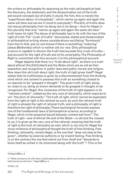the writers on philosophy for assuming as the main philosophical task the discovery, the statement, and the dissemination not of the truth and sound concepts but of *truths* in plural. For him, this is merely the "superfluous labour of a busybody", which warms up again and again the same old stew and serves it round to everybody<sup>10</sup>. Plurality of truths does not rescue philosophy from its decay but is its decay – thus for Hegel in this plurality that only "warms up again and again the same old stew" truth loses its right. The decay of philosophy has to do with the loss of the right of truth. The "crush of truths" discovered, stated and disseminated in philosophical writing shows considerations oscillating "formlessly" from this to that, and no one knows if there is something "enduring" [*etwas Bleibendes*] which is neither old nor new. Only philosophical science is capable to discern the truth that exceeds this crush of truths – and account for the right of truth and of its universality. The *Philosophy of Right* is committed with this account; it is this philosophical account.

Hegel departs that there is a "truth about right", as there is a truth about ethical life [*Sittlichkeit*] and the State which are as old as their exposition and recognition in public laws and public morals and religion. How does this old truth about right, the truth of right gives itself? Hegel states that its truthfulness is given by a discontentment from the thinking mind which not content to possess this truth as something closest to us requires to be "grasped in thought". The given truth of right, being so close to us, being so known demands to be grasped in thought, to be recognized. For Hegel, this closeness of the truth of right appears in its "rational content", indeed as the very core of rationality, which requires to win "the *form* of rationality". The truth of right, which cannot be separated from the right of right is the rational as such; as such the rational truth of right is already the right of rational truth, and a philosophy of right is therefore the right of philosophy. These tautological formulae express one of the fundamental laws of philosophical science, according to Hegel, which is the essential bound between content and form<sup>11</sup>. The truth of right – and of ethical life and of the State – is old and the closest to us; it is given as the very core of the rational, meaning that the truth of right is the truth of rationality as well, which is not only for Hegel but since millennia of philosophical thought the truth of free thinking. Free thinking, rationality, insists Hegel, is the one that "does not stop at the given", whether by external authority or by inward feeling. Free thinking is on the contrary the one that starts out from itself and "demands to know itself as united in its innermost being with the truth"<sup>12</sup>. This is the

10 Hegel 2008, p. 4

12 Ibid., p.5

I S I S & C R I T  $\mathbf{I}$ Q U E / Volume 8 Issue 2

C R

<sup>11 &</sup>quot;What we have to do with here is [philosophical] science, and in such science content is essentially bound up with *form"*. Hegel 2008, p. 4.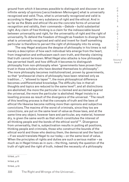ground from which it becomes possible to distinguish and discover in an infinite *variety of opinions* [*verschiedenen Meinungen*] what is universally recognized and valid. Thus, what is universally recognized and valid is according to Hegel the very substance of right and the ethical. And in so far as the State and ethical life are the concrete forms of universal recognition and validity, their commands – *Gebote* – build substantial right. Any claim of free thinking is a claim for the indissociable bound between universality and right, for the universality of right and the right of universality. To defend the freedom of thought as freedom to diverge from what is universally recognized and valid and invent for itself something particular is therefore to pervert the right of philosophy into its wrong.

The way Hegel analyzes the despise of philosophy in his times is not merely a description of how each individual lets emerge from the heart, from imagination and enthusiasm each own truth, and thereby claiming that truth cannot be known. What Hegel also attacks is how philosophy has perverted itself, and how difficult it becomes to distinguish philosophy from non-philosophy when "governments have proven their trust in those scholars who have devoted themselves to philosophy". The more philosophy becomes institutionalized, proven by governments, so that "professorial chairs of philosophy have been retained only as tradition…", "allowed to lapse"13, the more philosophical difference becomes undifferentiated knowledge. The difficulty lies in that all thoughts and topics are reduced to the same level<sup>14</sup>, and all distinctions are abolished; the more the particular is claimed and acclaimed against the universal, the more the particular is abolished. Hegel insists in a levelling process as result of the divergence of the universal. "The result of this levelling process is that the concepts of truth and the laws of ethical life likewise become nothing more than opinions and subjective convictions. The maxims of the worst of criminals, since they too are *convictions*, are put on the same level of value as those laws, and at the same time any object, however bare and particular, any material, however dry, is given the same worth as that which constitutes the interest of all thinking people and the bonds of the ethical world"15. Divergence from universality, that is, subjectivation results in putting all positions, thinking people and criminals, those who construct the bounds of the ethical world and those who destroy them, the democrat and the fascist – if we would translate Hegel to our today – on the same level of value. When the principles of rights and duties are such a serious matter – as much as in Hegel times as in ours – the thing, namely the question of the truth of right and the right of truth, indeed the necessity of a philosophy

13 Ibid., p.11

14 Ibid, p.12

15 Ibid., p.13

333 The Right and Wrongs of the Universal...

I S & C R I T  $\mathbf{I}$ Q U E / Volume 8

Issue 2

C R I S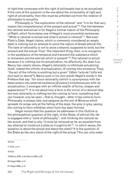of right that converges with the right of philosophy has to be actualized. If the core of the question is the one about the universality of right and right of universality, then this must be unfolded out from the relation of philosophy to actuality.

Philosophy is "the exploration of the rational" and "it is for that very reason the comprehension of the present and actual"16. The link between the rational and actual is for Hegel a central maxim of the *Philosophy of Right*, which formulates one of Hegel's most proverbial sentences: "What is rational is actual and what is actual is rational"17. Not even Plato's *State*, Hegel claims, which is commonly considered an empty ideal is nothing but an attempt to seize the nature of Greek ethical life. The task of rationality is not to seize a beyond, supposed to exist, but the present and the actual. Thus "the important thing, then, is to recognize in the semblance of the temporal and transient the substance which is immanent and the eternal which is present"<sup>18</sup>. The rational is actual because it is nothing but its actualization, its effectivity. As Jean-Luc Nancy has clearly shown, Hegel's rationality is infinitude actualizing itself, indeed the infinity of actualization, of coming into existence. Thus, "the act of the infinite is anything but a given" [*Mais l'acte de l'infini est tout sauf un donné19*]. Nancy puts in his own words Hegel's words in the Preface that say: "for since rationality (which is synonymous with the Idea) enters into external existence [*Existenz*] simultaneously with its actualization, it emerges with an infinite wealth of forms, shapes and appearances"20. It is not about how a form is the mirror of a rational idea but how rationality is nothing but the coming to form, something that can however only be seen – that is, thought – after it has come to form. Philosophy is always late, and epigonal as the owl of Minerva which spreads its wings only at the falling of the dusk, the grey in grey, seeing the coming to form withdraw when form has been formed.

Hegel insists that the question he addresses in this Outline is the philosophical question of the right, of the State, of ethical life. He is engaged with a "work of philosophy", with thinking the rational as the actual, and that is why "it must be removed as far as possible from any attempt to construct *a state as it ought to be*"21. In which sense, the question is about the actual and about the state? It is the question of the State as the very stand of the right of the actual. This can only make

16 Ibid 17 Ibid., p.14 18 Ibid. 19 Nancy 2018, p.44; Nancy 2002, p.25 20 Hegel 2008, p.14 21 Hegel 2008, p.15 The Right and Wrongs of the Universal...334

C R I S I S & C R I T  $\mathbf{I}$ Q U E / Volume 8 Issue 2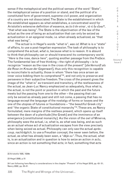sense if the metaphysical and the political senses of the word "State", the metaphysical sense of a position or stand, and the political of a constituted form of government, supreme civil power, and organization of a country are not dissociated. The State is the establishment in which the established appears as what establishes, a concentrated word for Aristotle's extensive definition of essence, as *to ti ên einai* , τὸ τί ἦν εἶναι22, "that what was being". The State is the objectivation of the law of the actual as the one of being an actualization that can only be seized as actualization in an epigonal mode, i.e. when already actualized, as "that what was being".

The actual is in Hegel's words "what is", *was ist*. What is is a "state" of affairs, to use a post-hegelian expression. The task of philosophy is to comprehend the actual, *what is*, because what is is reason. It is absurd to think that philosophy can or should transcend its contemporary world. "*Here* is the rose, dance *here*", quoting another passage from the *Preface*. The fundamental law of free thinking – the right of philosophy – is to recognize "reason as the rose in the cross of the present" [*die Vernunft als die Rose im Kreuze der Gegenwart*], thus only this recognition is capable to reconciliate to actuality, those in whom "there has once arisen an inner voice bidding them to comprehend"<sup>23</sup>, and not only to preserve and persevere in their subjective freedom. The cross of the present gives the image of the "what is" as transient and transitory, of the restlessness of the actual, as Jean-Luc Nancy emphasized so adequately, thus what is, the actual, is not the point or position in which the past and the future meets but the passing from one to the other – the passing that can only be seized as already past and still not come, a passing that has no language except the language of the nostalgy of forms or losses and the one of the utopias of futures or foundations – "the beautiful Greek city" and "the organic State of constitutional monarchy"<sup>24</sup>. These are, as Nancy formulated, mere margins of the restless present, which opens up itself between the dawn of a plenitude [the Greek] and the imminence of an emergence [constitutional monarchy]. As the vision of the owl of Minerva, philosophy sees the actual, i.e, what is, as what was being, and as such as an actual whose act of actualization escapes from the view precisely when being seized as actual. Philosophy can only see the actual *aprèscoup, nachträglich*, to use a Freudian concept, the never seen before, the actual, as what has already been seen, a "*déjà-vu"*. Thus, the actual, what is, is an actualization and in question is how to seize an action *in actu*, since an action is not something that acts; in fact, something that acts

22 Aristotle 1935, 1029b

23 Hegel 2008, p.15

C R  $\mathbf{I}$ S I S & C R I T I Q U E / Volume 8 Issue 2

<sup>24</sup> I am following here Nancy's considerations in the chapter "Present" of his Hegel 2018, pp. 43- 51; Nancy 2002, pp. 25-31.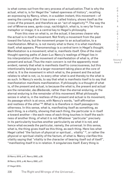is what comes out from the very process of actualization. That is why the actual, what is, is for Hegel the "naked openness of history", recalling an expressing by Nancy, when, in a sudden instant, this movement – of seeing the coming after it has come – called history, shows itself as the cross of the present, and therefore as an "act of negativity"25. The way the owl of Minerva sees, *après-coup, nachträglich*, what is, is very far from a metaphor or image; it is a central key to Hegel's philosophy.

From this view on what is, on the actual, it becomes clearer why the actual is in itself a movement. Not firstly a movement from the past toward the future, but the movement proper to an actualization, to a manifestation. What is, is not merely what is there; it is what manifests itself, what appears. Phenomenology is a central term in Hegel's thought. Manifestation is a movement; what is, manifests itself. One of the most thought opening paths of Jean-Luc Nancy's readings of Hegel lies in his interpretation of the movement of manifestation of what is, of the present and actual. Thus the main concern is not the apparently most evident, namely that what is manifests itself to consciousness, but this intentionality belongs to a larger movement taking place at the core of what is. It is the movement in which what is, the present and the actual relates to what is not, i.e, to every other what is and thereby to the what is as such. In Nancy's words, to say that what is manifests itself is to say that manifestation manifests manifestation. If philosophy is a thought of what is, of the present and actual, is because the what is, the present and actual are the remainder, *das Bleibende*, rather than the eternal enduring, or the eternal enduring is the remainder of this movement. What philosophy seizes in what is, in the restless of the present and actual is its movement, its passage which is at once, with Nancy's words, "self-affirmation and restless of the other"26. What is is therefore in itself passage into otherness. In this sense, what is, manifesting itself as something, as each thing, is a vitality, showing that each thing, the particular is in itself a toward another – the each-ness of each thing touches in itself the eachness of another thing, of what it is not. Whatever "particular" precisely in its particularity touches another particularity as what it is not, and hence what exceeds the particular, namely, the universal. In this sense, what is, the thing gives itself as this thing, as each thing. Here lies what Hegel called "the factum of physical or spiritual... vitality"  $27$ , or rather the physical or spiritual vitality of the factum, of what is. Nancy clarifies this vitality saying that "vitality is the character of bearing itself out of itself", "manifesting itself it is in relation. It singularizes itself. Every thing is

25 Nancy 2018, p.47; Nancy 2002, p.28.

26 Nancy 2018, p.46; Nancy 2002, p.27.

27 Hegel 2010..

336 The Right and Wrongs of the Universal... C

R I S I S & C R I T  $\mathbf{I}$ Q U E / Volume 8 Issue 2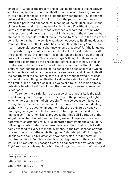singular"28. What is, the present and actual insofar as it is this negativity – of touching in itself other than itself, what is not – of bearing itself out of itself, touches the core of the dialectic between the particular and the universal. It touches transforming it since the particular emerges as the wrong and perverted philosophical meaning of the singular, in which the singular is reduced to the closure of a "being itself", without relation, identical to itself, a view on what is as what is separated. To think what is, the present and the actual – to think in the sense of the difference that philosophical speculative thinking is – means to "see", with the eyes of the owl of Minerva, that "the self is what does not possess itself and does not retain itself, and is, all told, what has its "itself" in this very "not" retain itself: nonsubsistence, nonsubstance, upsurge, subject"<sup>29</sup>. If the language of separation says: what is, is in itself for itself, it has already seen with the eyes of the owl the "for itself" as a relation and hence how the "itself" does not possess itself. Nancy draws Hegel's thought to its extreme, letting Hegel emerge as the philosopher of the skin of things, a thinker of what we could call the *skinship* of things rather than of their kindship. Thus, rather than the dialectic of the gender and species through which each thing is seized as particular kind, as separated and closed in itself, the negativity of the self at the core of Hegel's thought reveals itself as a thought of each thing manifesting itself as the skin of a limit. The skin of a limit is, like a leaf or a coin, like a voice or a touch, an inside already outside, a bearing itself out of itself that can only be seized *après-coup, nachträglich*.

To render the particular to the sense of its singularity is the task of philosophy, and very specifically the task of the philosophy of right which endorses the right of philosophy. This is so because this sense of singularity opens another sense of the universal. Even if not dealing explicitly with the question about the right of the universal, Nancy's readings give significant hints toward it. The singular as the skin of a limit is a self-liberation. Nancy proposes that this self-liberation of the singular is a liberation of freedom itself, since it liberates from every determination attached to it. Thus, liberated from itself, the singular is, following his interpretation, exposed to every other what is: it is itself being exposed to every other and everyone. In the restlessness of what is, Nancy finds the paths of his thought on "singular plural". In Hegel's language, we could say a *singular-universal*, which is manifestation manifesting itself. For Nancy, that is what Hegel names "the spirit of the world" [*Weltgeist*]30. A passage from the final part of the *Philosophy of Right*, reinforces this reading when Hegel says that the spirit of the world,

28 Nancy 2018, p.55; Nancy 2002, p.33

Issue 2

C R I

<sup>29</sup> Nancy 2018, p.58; Nancy 2002, p. 58

<sup>30</sup> Nancy 2018, p.60; Nancy 2002, p. 37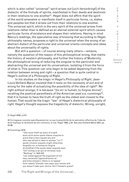which is also called "universal" spirit arises out [*sich hervorbringt*] of the dialectic of the finitude of spirits, manifested in their deeds and destinies in their relations to one another<sup>31</sup>. Hegel does not affirm that the spirit of the world emanates or manifests itself in particular forms, i.e, states and peoples but that it arises out from their relations to one another. The universal spirit, which is the very spirit of the universal arises from relations rather than is defined as an eternal external spirit which causes particular forms of existence and shapes their relations. Having in mind Nancy's readings, the speculative way of knowing that according to Hegel, philosophy names, proposes a right to the universal when the wrong of an abstract dialect of the particular and universal orients concepts and ideas about the universality of rights.

But still a question – of course among many others – remains, namely the question of the reason of this philosophical wrong, that marks the history of western philosophy, and further the history of Modernity, the philosophical wrong of reducing the singular to the particular and abstracting the universal and its universalism, isolating it from the force of what is. This question can only begin to be asked departing from the relation between wrong and right – a question that is quite central in Hegel's outline of a *Philosophy of Right*.

In his studies on the tragic in Hegel's *Philosophy of Right*, Jean-Louis Veillard-Baron insisted that it rests on the necessity of evil and of wrong for the sake of actualizing the possibility of the idea of right<sup>32</sup>. No right without wrongs; it is because "(to err is human; to forgive divine)", recalling the poetical parenthesis of the American poet e.e. cummings $33$ , that it is human to have the truth of right as the oldest and closest to the human. That would be the tragic "law" of Hegel's dialectical philosophy of right. Hegel's thought exposes the tragedicity of dialectic. Wrong, unright,

31 Hegel 2008, p.315.

32 Ce tragique consiste spécifiquement en ce que la possibilité de la realization effective de l'idée du droit implique la nécéssité de son contraire, le mal. Hegel 1999, p.34. See also Vieillard-Baron 2007, pp. 43–66.

33 Cummings 2016.

"why must itself up every of a park anus stick some quote statue unquote to prove that a hero equals any jerk who was afraid to dare to answer "no"? quote citizens unquote might otherwise forget(to err is human; to forgive divine)that if the quote state unquote says "kill" killing is an act of christian love. "Nothing" in 1944 AD "can stand against the argument of mil itary necessity"(generalissimo e) and echo answers "there is no appeal from reason"(freud)—you pays your money and you doesn't take your choice. Ain't freedom grand"

338 The Right and Wrongs of the Universal...

I S I S & C R I T  $\mathbf{I}$ Q U E / Volume 8 Issue 2

C R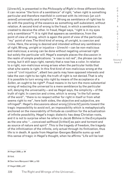[*Unrecht*], is presented in the *Philosophy of Right* in three different kinds: it can receive "the form of a semblance" of right, "when right is something particular and therefore manifold in contrast with its intrinsic [*an sich*  seiend] universality and simplicity"<sup>34</sup>. Wrong as semblance of right has to do with the positing of the essence as something self-subsistent, without relation. A second kind of wrong is the fraud, in which a semblance is created to deceive the other. In fraud, Hegel says, "right is in my eyes only a semblance"35. It is right that appears as semblance, from the point of view of wrong, which is again the point of view of the particular, "my" point of view. The third kind of wrong, of unright, is coercion and crime. Here, the wrong is desired and intended without any semblance of right. Wrong, unright or injustice – *Unrecht* – can be non-malicious and malicious; a wrong can be done without negating universal right but solely the particular will. Hegel's example places the discussion in the realm of simple predications: "a rose is not red", the phrase can be wrong, but it still says right, namely that a rose has a color. In relation to a right, non-malicious wrong arises when the particular holds that what s/he wants is right. In this first kind of non-malicious wrong at the core of "civil injustice", albeit two parts may have opposed interests and take the own right to be right, the truth of right is not denied. That is why it is possible to turn wrong into right by means of the acceptance of a *Sollen*, an ought to be right<sup>36</sup>. Fraud means in its turn the more substantial wrong of reducing the universal to a mere semblance by the particular will, denying the universality – and as Hegel says, the simplicity – of the truth of right. In coercion and crime, which is wrong "in the full sense of the word", "there is no respect either for right in itself or from what seems right to me", here both sides, the objective and subjective, are infringed37. Hegel's discussions about wrong [*Unrecht*] points toward the tragic impossibility to avoid evil, an impossibility which is metaphysically anchored on the inexorability of finitude as condition for the actualization of infinite possibility. Hegel's tragic dialectic has deep Christian roots, and it is not to surprise when he refers to Jacob Böhme in the *Encylopedia* as the one who "…conceived selfhood [*Ichheit*] as pain and torment and as source of nature and spirit". This is the tragedy of freedom, the tragedy of the infinitization of the infinite, only actual through its finitization, thus life is in death. A quote from Hegelian Georges Bataille sums up well this sense of tragic in Hegel's thought, when he affirms "Life will be lost

34 Hegel 2009, p. 94

35 Ibid.

36 See here Marquard 1964, p.103

37 Hegel 2008, p.97

339 The Right and Wrongs of the Universal...

C R I S I S & C R I T I Q U E / Volume 8 Issue 2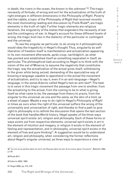in death, the rivers in the ocean, the known in the unknown"38. The tragic necessity of finitude, of wrong and evil for the actualization of the truth of right emerges in different dimensions in the *Philosophy of Right*. Poverty and the rabble, a topic of the Philosophy of Right that received recently the most illuminating reading and discussion by Frank Ruda<sup>39</sup>, are tragic elements in the truth of right. Further tragic elements are religious fanatism, the singularity of the states that engenders the necessity of war and the contingency of war. In Hegel's account for these different levels of wrong, the tragic knot lies in the dialectic of the particular or contingent and the universal.

To see the singular as particular, to do wrong to it philosophically would obey the tragedicity in Hegel's thought. Thus, singularity as selfliberation of freedom itself is manifestation and actualization appearing in its own movement afterwards, *après-coup, nachträglich*, as what has posited and established itself as something separated in itself, as particular. The philosophical task according to Hegel is to think with the vision of the owl of Minerva, to assume the negativity that constitutes the tragic way the actualization of the actual gives itself, withdrawing in the given while being seized, demanding of the speculative way of knowing a language capable to apprehend in the actual the movement of actualization, and try to say it, even if in an anti-language – Hegel's language, in the sense Adorno called Hegel's text an anti-text<sup>40</sup>. The task is to seize in this tragic movement the passage from one to another, from the actualizing to the actual, from the coming to be to what is giving itself as what came to be, the passage from theory to praxis, from the singular to the universal, as one and the same, as the skin of a limit, as a sheet of paper. Maybe a way to do right to Hegel's *Philosophy of Right* in times as ours when the right of the universal suffers the wrong of the universality and universalism of right, and thereby to find a path to give right to philosophy is to rethink the discussion that opens the last section of the book that handles World history. Hegel speaks of the three ways universal spirit exists: art, religion and philosophy. Each of these forms or ways exists out from respective elements: universal spirit exists in art in the element of intuition and imagery, in religion it exists in the element of feeling and representation, and in philosophy, universal spirit exists in the element of free and pure thinking<sup>41</sup>. A suggestion would be to understand art, religion and philosophy, when considering the former reflections about Hegel's singular universal, as three ways to experience a view of

39 Ruda 2011.

40 Adorno 2003, 1993.

41 Hegel 2008, pp. 315, 316

340 The Right and Wrongs of the Universal...

S I S & C R I T I Q U E / Volume 8

Issue 2

C R I

<sup>38 &</sup>quot;La vie va se perdre dans la mort, les fleuves dans la mer et le connu dans l'inconnu", Bataille 1952, p.119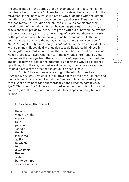the actualization in the actual, of the movement of manifestation in the manifested, of action *in actu*. Three forms of seizing the withdrawal of the movement in the moved, which indicate a way of dealing with the difficult question about the relation between theory and praxis. Thus, each one of these forms – art, religion and philosophy – when considered from the viewpoint of their elements can be seen as passages from theory to praxis and from praxis to theory. Not praxis without or beyond the wrongs of theory, not theory to correct the wrongs of praxis, not theory on praxis or the praxis of theory, but a thinking sensibility and sensible thoughts on the passage of one to the other, a passage that can only be "seen", "felt", "thought freely" *après-coup, nachträglich.* In times as ours, dealing with so many philosophical wrongs due to a civilizational blindness for the singular-universal, an universal that should better be called plural as Nancy proposed, maybe what can turn these wrongs into right is a view that seizes the *passage* from theory to praxis *while passing*, in art, religion and philosophy. At least in the attempt to understand why Hegel opened up a thought on the singular universal departing from a owl-view on the tragic dialectic of the present and actual, of what is, now.

To "finish" this outline of a reading of Hegel's Outlines to a *Philosophy of Right*, I would like to quote a poem by the Brazilian poet and theoretician of translation, Haroldo de Campos, who composed a poem with Hegel's own passages and words from the *Phenomenology of the Spirit.* This poem "by" Hegel can be read as an outline to Hegel's thought on the right of the singular-universal which perhaps is nothing but what is, now.

## **Dialectic of the now – 1**

the now which is night is pre- (suspensive) -served that is is treated as that by which to us it gives itself: like an exsistent but to us it first shows itself much

S I S & C R I T  $\mathbf{I}$ Q U E / Volume 8 Issue 2

C R  $\mathbf{I}$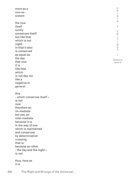| more as a                 | C<br>$\mathsf R$  |
|---------------------------|-------------------|
| non-ex-                   | I.                |
| sistent                   | S                 |
|                           | T<br>$\mathbb S$  |
| the now                   |                   |
| itself                    | &                 |
| surely                    | C                 |
| sonserves itself          | R                 |
| but like that             | $\mathbf{I}$<br>T |
| which is not              | $\mathbf{I}$      |
| night:                    | $\mathbb Q$       |
| in that it also           | U<br>E            |
| is conserved              |                   |
| as equal as               | $\overline{1}$    |
| the day                   | Volume 8          |
| that now                  | Issue 2           |
| it is                     |                   |
| like that                 |                   |
| which                     |                   |
| is not day nor            |                   |
| like a                    |                   |
| negative in               |                   |
| general                   |                   |
| this                      |                   |
| - which conserves itself- |                   |
| is not                    |                   |
| now                       |                   |
| therefore an              |                   |
| im-mediate                |                   |
| but yes, an               |                   |
| inter-mediate             |                   |
| because it is             |                   |
| in the way of one         |                   |
| which is maintained       |                   |
| and conserved             |                   |
| by determination          |                   |
| crossing                  |                   |
| that is:                  |                   |
| because an other          |                   |
| - the day and the night - |                   |
| is not                    |                   |
|                           |                   |
| thus, here as             |                   |
| it is                     |                   |
|                           |                   |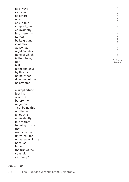C R I S I S & C R I T I  $\Omega$  $\cup$ E / Volume 8 Issue 2 as always - so simply as before – now: and in this simplicitude equivalently in-differently to that by its ground is at play: as well as night and day none of which is their being nor is it night and day: by this its being-other does not let itself be affected: a simplicitude just like which is before the negation - not being this nor that – a not-this equivalently in-different to being this or that we name it a universal: the universal which is because in fact the true of the sensible certainty<sup>42</sup>.

## 42 Campos 1997